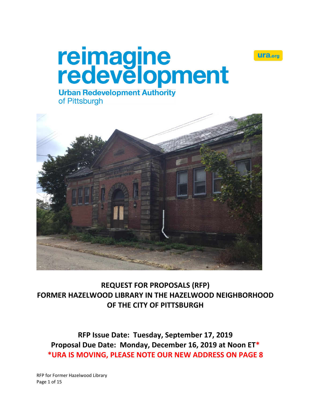



# **Urban Redevelopment Authority** of Pittsburgh



**REQUEST FOR PROPOSALS (RFP) FORMER HAZELWOOD LIBRARY IN THE HAZELWOOD NEIGHBORHOOD OF THE CITY OF PITTSBURGH**

**RFP Issue Date: Tuesday, September 17, 2019 Proposal Due Date: Monday, December 16, 2019 at Noon ET\* \*URA IS MOVING, PLEASE NOTE OUR NEW ADDRESS ON PAGE 8**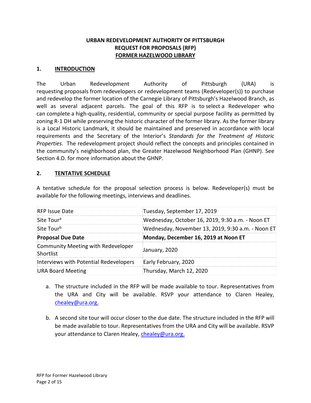## **URBAN REDEVELOPMENT AUTHORITY OF PITTSBURGH REQUEST FOR PROPOSALS (RFP) FORMER HAZELWOOD LIBRARY**

#### **1. INTRODUCTION**

The Urban Redevelopment Authority of Pittsburgh (URA) is requesting proposals from redevelopers or redevelopment teams (Redeveloper(s)) to purchase and redevelop the former location of the Carnegie Library of Pittsburgh's Hazelwood Branch, as well as several adjacent parcels. The goal of this RFP is to select a Redeveloper who can complete a high-quality, residential, community or special purpose facility as permitted by zoning R-1 DH while preserving the historic character of the former library. As the former library is a Local Historic Landmark, it should be maintained and preserved in accordance with local requirements and the Secretary of the Interior's *Standards for the Treatment of Historic Properties*. The redevelopment project should reflect the concepts and principles contained in the community's neighborhood plan, the Greater Hazelwood Neighborhood Plan (GHNP). See Section 4.D. for more information about the GHNP.

## **2. TENTATIVE SCHEDULE**

A tentative schedule for the proposal selection process is below. Redeveloper(s) must be available for the following meetings, interviews and deadlines.

| <b>RFP Issue Date</b>                           | Tuesday, September 17, 2019                       |
|-------------------------------------------------|---------------------------------------------------|
| Site Tour <sup>a</sup>                          | Wednesday, October 16, 2019, 9:30 a.m. - Noon ET  |
| Site Tour <sup>b</sup>                          | Wednesday, November 13, 2019, 9:30 a.m. - Noon ET |
| <b>Proposal Due Date</b>                        | Monday, December 16, 2019 at Noon ET              |
| Community Meeting with Redeveloper<br>Shortlist | January, 2020                                     |
| Interviews with Potential Redevelopers          | Early February, 2020                              |
| <b>URA Board Meeting</b>                        | Thursday, March 12, 2020                          |

- a. The structure included in the RFP will be made available to tour. Representatives from the URA and City will be available. RSVP your attendance to Claren Healey, [chealey@ura.org.](mailto:chealey@ura.org)
- b. A second site tour will occur closer to the due date. The structure included in the RFP will be made available to tour. Representatives from the URA and City will be available. RSVP your attendance to Claren Healey, [chealey@ura.org.](mailto:chealey@ura.org)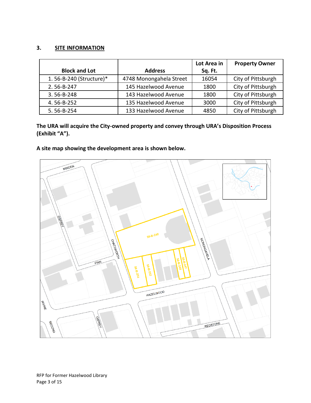#### **3. SITE INFORMATION**

|                         |                         | Lot Area in | <b>Property Owner</b> |
|-------------------------|-------------------------|-------------|-----------------------|
| <b>Block and Lot</b>    | <b>Address</b>          | Sq. Ft.     |                       |
| 1.56-B-240 (Structure)* | 4748 Monongahela Street | 16054       | City of Pittsburgh    |
| 2.56-B-247              | 145 Hazelwood Avenue    | 1800        | City of Pittsburgh    |
| 3.56-B-248              | 143 Hazelwood Avenue    | 1800        | City of Pittsburgh    |
| 4.56-B-252              | 135 Hazelwood Avenue    | 3000        | City of Pittsburgh    |
| 5.56-B-254              | 133 Hazelwood Avenue    | 4850        | City of Pittsburgh    |

**The URA will acquire the City-owned property and convey through URA's Disposition Process (Exhibit "A").**

# **A site map showing the development area is shown below.**

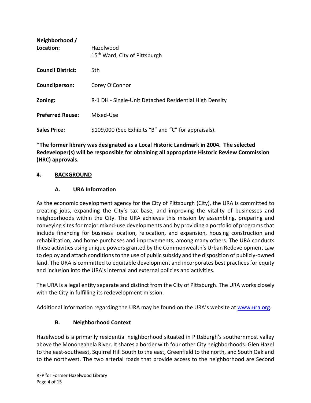| Neighborhood /<br>Location: | Hazelwood<br>15 <sup>th</sup> Ward, City of Pittsburgh |
|-----------------------------|--------------------------------------------------------|
| <b>Council District:</b>    | 5th                                                    |
| <b>Councilperson:</b>       | Corey O'Connor                                         |
| Zoning:                     | R-1 DH - Single-Unit Detached Residential High Density |
| <b>Preferred Reuse:</b>     | Mixed-Use                                              |
| <b>Sales Price:</b>         | \$109,000 (See Exhibits "B" and "C" for appraisals).   |

**\*The former library was designated as a Local Historic Landmark in 2004. The selected Redeveloper(s) will be responsible for obtaining all appropriate Historic Review Commission (HRC) approvals.**

# **4. BACKGROUND**

# **A. URA Information**

As the economic development agency for the City of Pittsburgh (City), the URA is committed to creating jobs, expanding the City's tax base, and improving the vitality of businesses and neighborhoods within the City. The URA achieves this mission by assembling, preparing and conveying sites for major mixed-use developments and by providing a portfolio of programs that include financing for business location, relocation, and expansion, housing construction and rehabilitation, and home purchases and improvements, among many others. The URA conducts these activities using unique powers granted by the Commonwealth's Urban Redevelopment Law to deploy and attach conditions to the use of public subsidy and the disposition of publicly-owned land. The URA is committed to equitable development and incorporates best practices for equity and inclusion into the URA's internal and external policies and activities.

The URA is a legal entity separate and distinct from the City of Pittsburgh. The URA works closely with the City in fulfilling its redevelopment mission.

Additional information regarding the URA may be found on the URA's website at [www.ura.org.](https://www.ura.org/)

# **B. Neighborhood Context**

Hazelwood is a primarily residential neighborhood situated in Pittsburgh's southernmost valley above the Monongahela River. It shares a border with four other City neighborhoods: Glen Hazel to the east-southeast, Squirrel Hill South to the east, Greenfield to the north, and South Oakland to the northwest. The two arterial roads that provide access to the neighborhood are Second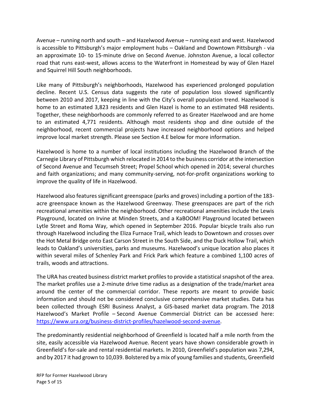Avenue – running north and south – and Hazelwood Avenue – running east and west. Hazelwood is accessible to Pittsburgh's major employment hubs – Oakland and Downtown Pittsburgh - via an approximate 10- to 15-minute drive on Second Avenue. Johnston Avenue, a local collector road that runs east-west, allows access to the Waterfront in Homestead by way of Glen Hazel and Squirrel Hill South neighborhoods.

Like many of Pittsburgh's neighborhoods, Hazelwood has experienced prolonged population decline. Recent U.S. Census data suggests the rate of population loss slowed significantly between 2010 and 2017, keeping in line with the City's overall population trend. Hazelwood is home to an estimated 3,823 residents and Glen Hazel is home to an estimated 948 residents. Together, these neighborhoods are commonly referred to as Greater Hazelwood and are home to an estimated 4,771 residents. Although most residents shop and dine outside of the neighborhood, recent commercial projects have increased neighborhood options and helped improve local market strength. Please see Section 4.E below for more information.

Hazelwood is home to a number of local institutions including the Hazelwood Branch of the Carnegie Library of Pittsburgh which relocated in 2014 to the business corridor at the intersection of Second Avenue and Tecumseh Street; Propel School which opened in 2014; several churches and faith organizations; and many community-serving, not-for-profit organizations working to improve the quality of life in Hazelwood.

Hazelwood also features significant greenspace (parks and groves) including a portion of the 183 acre greenspace known as the Hazelwood Greenway. These greenspaces are part of the rich recreational amenities within the neighborhood. Other recreational amenities include the Lewis Playground, located on Irvine at Minden Streets, and a KaBOOM! Playground located between Lytle Street and Roma Way, which opened in September 2016. Popular bicycle trails also run through Hazelwood including the Eliza Furnace Trail, which leads to Downtown and crosses over the Hot Metal Bridge onto East Carson Street in the South Side, and the Duck Hollow Trail, which leads to Oakland's universities, parks and museums. Hazelwood's unique location also places it within several miles of Schenley Park and Frick Park which feature a combined 1,100 acres of trails, woods and attractions.

The URA has created business district market profiles to provide a statistical snapshot of the area. The market profiles use a 2-minute drive time radius as a designation of the trade/market area around the center of the commercial corridor. These reports are meant to provide basic information and should not be considered conclusive comprehensive market studies. Data has been collected through ESRI Business Analyst, a GIS-based market data program. The 2018 Hazelwood's Market Profile – Second Avenue Commercial District can be accessed here: [https://www.ura.org/business-district-profiles/hazelwood-second-avenue.](https://www.ura.org/business-district-profiles/hazelwood-second-avenue)

The predominantly residential neighborhood of Greenfield is located half a mile north from the site, easily accessible via Hazelwood Avenue. Recent years have shown considerable growth in Greenfield's for-sale and rental residential markets. In 2010, Greenfield's population was 7,294, and by 2017 it had grown to 10,039. Bolstered by a mix of young families and students, Greenfield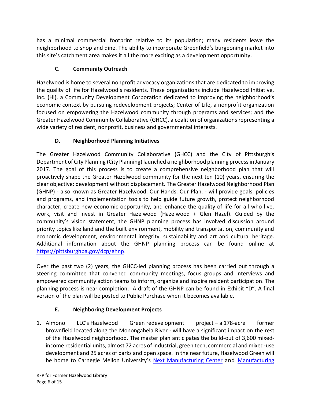has a minimal commercial footprint relative to its population; many residents leave the neighborhood to shop and dine. The ability to incorporate Greenfield's burgeoning market into this site's catchment area makes it all the more exciting as a development opportunity.

# **C. Community Outreach**

Hazelwood is home to several nonprofit advocacy organizations that are dedicated to improving the quality of life for Hazelwood's residents. These organizations include Hazelwood Initiative, Inc. (HI), a Community Development Corporation dedicated to improving the neighborhood's economic context by pursuing redevelopment projects; Center of Life, a nonprofit organization focused on empowering the Hazelwood community through programs and services; and the Greater Hazelwood Community Collaborative (GHCC), a coalition of organizations representing a wide variety of resident, nonprofit, business and governmental interests.

# **D. Neighborhood Planning Initiatives**

The Greater Hazelwood Community Collaborative (GHCC) and the City of Pittsburgh's Department of City Planning (City Planning) launched a neighborhood planning processin January 2017. The goal of this process is to create a comprehensive neighborhood plan that will proactively shape the Greater Hazelwood community for the next ten (10) years, ensuring the clear objective: development without displacement. The Greater Hazelwood Neighborhood Plan (GHNP) - also known as Greater Hazelwood: Our Hands. Our Plan. - will provide goals, policies and programs, and implementation tools to help guide future growth, protect neighborhood character, create new economic opportunity, and enhance the quality of life for all who live, work, visit and invest in Greater Hazelwood (Hazelwood + Glen Hazel). Guided by the community's vision statement, the GHNP planning process has involved discussion around priority topics like land and the built environment, mobility and transportation, community and economic development, environmental integrity, sustainability and art and cultural heritage. Additional information about the GHNP planning process can be found online at [https://pittsburghpa.gov/dcp/ghnp.](https://pittsburghpa.gov/dcp/ghnp)

Over the past two (2) years, the GHCC-led planning process has been carried out through a steering committee that convened community meetings, focus groups and interviews and empowered community action teams to inform, organize and inspire resident participation. The planning process is near completion. A draft of the GHNP can be found in Exhibit "D". A final version of the plan will be posted to Public Purchase when it becomes available.

# **E. Neighboring Development Projects**

1. Almono LLC's Hazelwood Green redevelopment project – a 178-acre former brownfield located along the Monongahela River - will have a significant impact on the rest of the Hazelwood neighborhood. The master plan anticipates the build-out of 3,600 mixedincome residential units; almost 72 acres of industrial, green tech, commercial and mixed-use development and 25 acres of parks and open space. In the near future, Hazelwood Green will be home to Carnegie Mellon University's [Next Manufacturing Center](https://engineering.cmu.edu/next/index.html) and Manufacturing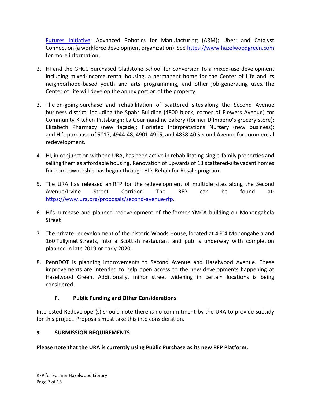[Futures Initiative;](https://engineering.cmu.edu/mfi/index.html) Advanced Robotics for Manufacturing (ARM); Uber; and Catalyst Connection (a workforce development organization). See [https://www.hazelwoodgreen.com](https://www.hazelwoodgreen.com/) for more information.

- 2. HI and the GHCC purchased Gladstone School for conversion to a mixed-use development including mixed-income rental housing, a permanent home for the Center of Life and its neighborhood-based youth and arts programming, and other job-generating uses. The Center of Life will develop the annex portion of the property.
- 3. The on-going purchase and rehabilitation of scattered sites along the Second Avenue business district, including the Spahr Building (4800 block, corner of Flowers Avenue) for Community Kitchen Pittsburgh; La Gourmandine Bakery (former D'Imperio's grocery store); Elizabeth Pharmacy (new façade); Floriated Interpretations Nursery (new business); and HI's purchase of 5017, 4944-48, 4901-4915, and 4838-40 Second Avenue for commercial redevelopment.
- 4. HI, in conjunction with the URA, has been active in rehabilitating single-family properties and selling them as affordable housing. Renovation of upwards of 13 scattered-site vacant homes for homeownership has begun through HI's Rehab for Resale program.
- 5. The URA has released an RFP for the redevelopment of multiple sites along the Second Avenue/Irvine Street Corridor. The RFP can be found at: <https://www.ura.org/proposals/second-avenue-rfp>.
- 6. HI's purchase and planned redevelopment of the former YMCA building on Monongahela Street
- 7. The private redevelopment of the historic Woods House, located at 4604 Monongahela and 160 Tullymet Streets, into a Scottish restaurant and pub is underway with completion planned in late 2019 or early 2020.
- 8. PennDOT is planning improvements to Second Avenue and Hazelwood Avenue. These improvements are intended to help open access to the new developments happening at Hazelwood Green. Additionally, minor street widening in certain locations is being considered.

# **F. Public Funding and Other Considerations**

Interested Redeveloper(s) should note there is no commitment by the URA to provide subsidy for this project. Proposals must take this into consideration.

## **5. SUBMISSION REQUIREMENTS**

## **Please note that the URA is currently using Public Purchase as its new RFP Platform.**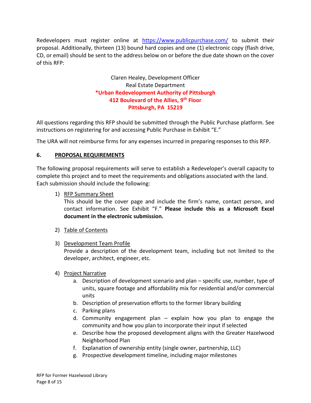Redevelopers must register online at <https://www.publicpurchase.com/> to submit their proposal. Additionally, thirteen (13) bound hard copies and one (1) electronic copy (flash drive, CD, or email) should be sent to the address below on or before the due date shown on the cover of this RFP:

# Claren Healey, Development Officer Real Estate Department **\*Urban Redevelopment Authority of Pittsburgh 412 Boulevard of the Allies, 9th Floor Pittsburgh, PA 15219**

All questions regarding this RFP should be submitted through the Public Purchase platform. See instructions on registering for and accessing Public Purchase in Exhibit "E."

The URA will not reimburse firms for any expenses incurred in preparing responses to this RFP.

# **6. PROPOSAL REQUIREMENTS**

The following proposal requirements will serve to establish a Redeveloper's overall capacity to complete this project and to meet the requirements and obligations associated with the land. Each submission should include the following:

1) RFP Summary Sheet

This should be the cover page and include the firm's name, contact person, and contact information. See Exhibit "F." **Please include this as a Microsoft Excel document in the electronic submission.**

- 2) Table of Contents
- 3) Development Team Profile

Provide a description of the development team, including but not limited to the developer, architect, engineer, etc.

- 4) Project Narrative
	- a. Description of development scenario and plan specific use, number, type of units, square footage and affordability mix for residential and/or commercial units
	- b. Description of preservation efforts to the former library building
	- c. Parking plans
	- d. Community engagement plan explain how you plan to engage the community and how you plan to incorporate their input if selected
	- e. Describe how the proposed development aligns with the Greater Hazelwood Neighborhood Plan
	- f. Explanation of ownership entity (single owner, partnership, LLC)
	- g. Prospective development timeline, including major milestones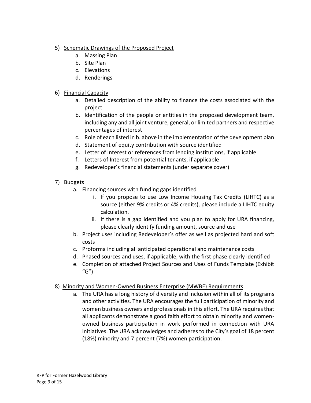- 5) Schematic Drawings of the Proposed Project
	- a. Massing Plan
	- b. Site Plan
	- c. Elevations
	- d. Renderings

# 6) Financial Capacity

- a. Detailed description of the ability to finance the costs associated with the project
- b. Identification of the people or entities in the proposed development team, including any and all joint venture, general, or limited partners and respective percentages of interest
- c. Role of each listed in b. above in the implementation of the development plan
- d. Statement of equity contribution with source identified
- e. Letter of Interest or references from lending institutions, if applicable
- f. Letters of Interest from potential tenants, if applicable
- g. Redeveloper's financial statements (under separate cover)
- 7) Budgets
	- a. Financing sources with funding gaps identified
		- i. If you propose to use Low Income Housing Tax Credits (LIHTC) as a source (either 9% credits or 4% credits), please include a LIHTC equity calculation.
		- ii. If there is a gap identified and you plan to apply for URA financing, please clearly identify funding amount, source and use
	- b. Project uses including Redeveloper's offer as well as projected hard and soft costs
	- c. Proforma including all anticipated operational and maintenance costs
	- d. Phased sources and uses, if applicable, with the first phase clearly identified
	- e. Completion of attached Project Sources and Uses of Funds Template (Exhibit  $(G'')$

# 8) Minority and Women-Owned Business Enterprise (MWBE) Requirements

a. The URA has a long history of diversity and inclusion within all of its programs and other activities. The URA encourages the full participation of minority and women business owners and professionals in this effort. The URA requires that all applicants demonstrate a good faith effort to obtain minority and womenowned business participation in work performed in connection with URA initiatives. The URA acknowledges and adheres to the City's goal of 18 percent (18%) minority and 7 percent (7%) women participation.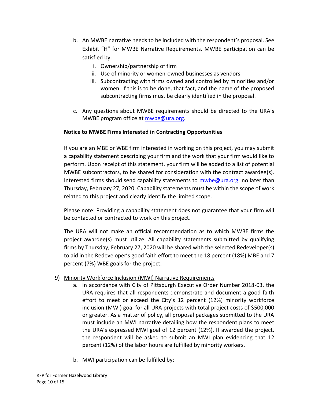- b. An MWBE narrative needs to be included with the respondent's proposal. See Exhibit "H" for MWBE Narrative Requirements. MWBE participation can be satisfied by:
	- i. Ownership/partnership of firm
	- ii. Use of minority or women-owned businesses as vendors
	- iii. Subcontracting with firms owned and controlled by minorities and/or women. If this is to be done, that fact, and the name of the proposed subcontracting firms must be clearly identified in the proposal.
- c. Any questions about MWBE requirements should be directed to the URA's MWBE program office at [mwbe@ura.org.](mailto:mwbe@ura.org)

## **Notice to MWBE Firms Interested in Contracting Opportunities**

If you are an MBE or WBE firm interested in working on this project, you may submit a capability statement describing your firm and the work that your firm would like to perform. Upon receipt of this statement, your firm will be added to a list of potential MWBE subcontractors, to be shared for consideration with the contract awardee(s). Interested firms should send capability statements to [mwbe@ura.org](mailto:mwbe@ura.org) no later than Thursday, February 27, 2020. Capability statements must be within the scope of work related to this project and clearly identify the limited scope.

Please note: Providing a capability statement does not guarantee that your firm will be contacted or contracted to work on this project.

The URA will not make an official recommendation as to which MWBE firms the project awardee(s) must utilize. All capability statements submitted by qualifying firms by Thursday, February 27, 2020 will be shared with the selected Redeveloper(s) to aid in the Redeveloper's good faith effort to meet the 18 percent (18%) MBE and 7 percent (7%) WBE goals for the project.

## 9) Minority Workforce Inclusion (MWI) Narrative Requirements

- a. In accordance with City of Pittsburgh Executive Order Number 2018-03, the URA requires that all respondents demonstrate and document a good faith effort to meet or exceed the City's 12 percent (12%) minority workforce inclusion (MWI) goal for all URA projects with total project costs of \$500,000 or greater. As a matter of policy, all proposal packages submitted to the URA must include an MWI narrative detailing how the respondent plans to meet the URA's expressed MWI goal of 12 percent (12%). If awarded the project, the respondent will be asked to submit an MWI plan evidencing that 12 percent (12%) of the labor hours are fulfilled by minority workers.
- b. MWI participation can be fulfilled by: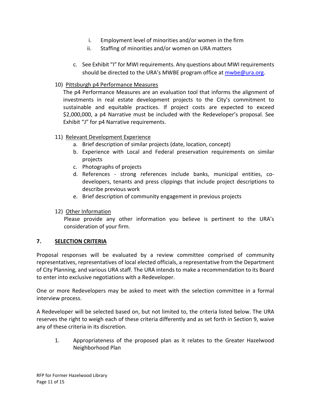- i. Employment level of minorities and/or women in the firm
- ii. Staffing of minorities and/or women on URA matters
- c. See Exhibit "I" for MWI requirements. Any questions about MWI requirements should be directed to the URA's MWBE program office at **mwbe@ura.org**.

## 10) Pittsburgh p4 Performance Measures

The p4 Performance Measures are an evaluation tool that informs the alignment of investments in real estate development projects to the City's commitment to sustainable and equitable practices. If project costs are expected to exceed \$2,000,000, a p4 Narrative must be included with the Redeveloper's proposal. See Exhibit "J" for p4 Narrative requirements.

#### 11) Relevant Development Experience

- a. Brief description of similar projects (date, location, concept)
- b. Experience with Local and Federal preservation requirements on similar projects
- c. Photographs of projects
- d. References strong references include banks, municipal entities, codevelopers, tenants and press clippings that include project descriptions to describe previous work
- e. Brief description of community engagement in previous projects

## 12) Other Information

Please provide any other information you believe is pertinent to the URA's consideration of your firm.

#### **7. SELECTION CRITERIA**

Proposal responses will be evaluated by a review committee comprised of community representatives, representatives of local elected officials, a representative from the Department of City Planning, and various URA staff. The URA intends to make a recommendation to its Board to enter into exclusive negotiations with a Redeveloper.

One or more Redevelopers may be asked to meet with the selection committee in a formal interview process.

A Redeveloper will be selected based on, but not limited to, the criteria listed below. The URA reserves the right to weigh each of these criteria differently and as set forth in Section 9, waive any of these criteria in its discretion.

1. Appropriateness of the proposed plan as it relates to the Greater Hazelwood Neighborhood Plan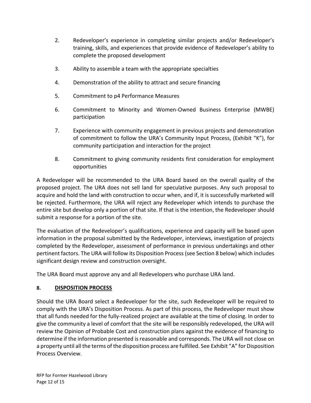- 2. Redeveloper's experience in completing similar projects and/or Redeveloper's training, skills, and experiences that provide evidence of Redeveloper's ability to complete the proposed development
- 3. Ability to assemble a team with the appropriate specialties
- 4. Demonstration of the ability to attract and secure financing
- 5. Commitment to p4 Performance Measures
- 6. Commitment to Minority and Women-Owned Business Enterprise (MWBE) participation
- 7. Experience with community engagement in previous projects and demonstration of commitment to follow the URA's Community Input Process, (Exhibit "K"), for community participation and interaction for the project
- 8. Commitment to giving community residents first consideration for employment opportunities

A Redeveloper will be recommended to the URA Board based on the overall quality of the proposed project. The URA does not sell land for speculative purposes. Any such proposal to acquire and hold the land with construction to occur when, and if, it is successfully marketed will be rejected. Furthermore, the URA will reject any Redeveloper which intends to purchase the entire site but develop only a portion of that site. If that is the intention, the Redeveloper should submit a response for a portion of the site.

The evaluation of the Redeveloper's qualifications, experience and capacity will be based upon information in the proposal submitted by the Redeveloper, interviews, investigation of projects completed by the Redeveloper, assessment of performance in previous undertakings and other pertinent factors. The URA will follow its Disposition Process (see Section 8 below) which includes significant design review and construction oversight.

The URA Board must approve any and all Redevelopers who purchase URA land.

## **8. DISPOSITION PROCESS**

Should the URA Board select a Redeveloper for the site, such Redeveloper will be required to comply with the URA's Disposition Process. As part of this process, the Redeveloper must show that all funds needed for the fully-realized project are available at the time of closing. In order to give the community a level of comfort that the site will be responsibly redeveloped, the URA will review the Opinion of Probable Cost and construction plans against the evidence of financing to determine if the information presented is reasonable and corresponds. The URA will not close on a property until all the terms of the disposition process are fulfilled. See Exhibit "A" for Disposition Process Overview.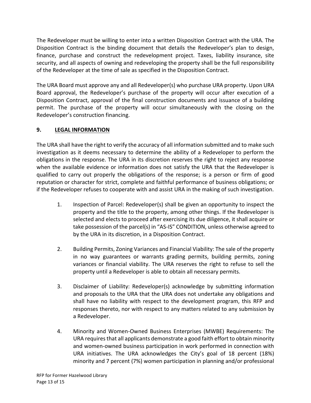The Redeveloper must be willing to enter into a written Disposition Contract with the URA. The Disposition Contract is the binding document that details the Redeveloper's plan to design, finance, purchase and construct the redevelopment project. Taxes, liability insurance, site security, and all aspects of owning and redeveloping the property shall be the full responsibility of the Redeveloper at the time of sale as specified in the Disposition Contract.

The URA Board must approve any and all Redeveloper(s) who purchase URA property. Upon URA Board approval, the Redeveloper's purchase of the property will occur after execution of a Disposition Contract, approval of the final construction documents and issuance of a building permit. The purchase of the property will occur simultaneously with the closing on the Redeveloper's construction financing.

# **9. LEGAL INFORMATION**

The URA shall have the right to verify the accuracy of all information submitted and to make such investigation as it deems necessary to determine the ability of a Redeveloper to perform the obligations in the response. The URA in its discretion reserves the right to reject any response when the available evidence or information does not satisfy the URA that the Redeveloper is qualified to carry out properly the obligations of the response; is a person or firm of good reputation or character for strict, complete and faithful performance of business obligations; or if the Redeveloper refuses to cooperate with and assist URA in the making of such investigation.

- 1. Inspection of Parcel: Redeveloper(s) shall be given an opportunity to inspect the property and the title to the property, among other things. If the Redeveloper is selected and elects to proceed after exercising its due diligence, it shall acquire or take possession of the parcel(s) in "AS-IS" CONDITION, unless otherwise agreed to by the URA in its discretion, in a Disposition Contract.
- 2. Building Permits, Zoning Variances and Financial Viability: The sale of the property in no way guarantees or warrants grading permits, building permits, zoning variances or financial viability. The URA reserves the right to refuse to sell the property until a Redeveloper is able to obtain all necessary permits.
- 3. Disclaimer of Liability: Redeveloper(s) acknowledge by submitting information and proposals to the URA that the URA does not undertake any obligations and shall have no liability with respect to the development program, this RFP and responses thereto, nor with respect to any matters related to any submission by a Redeveloper.
- 4. Minority and Women-Owned Business Enterprises (MWBE) Requirements: The URA requires that all applicants demonstrate a good faith effort to obtain minority and women-owned business participation in work performed in connection with URA initiatives. The URA acknowledges the City's goal of 18 percent (18%) minority and 7 percent (7%) women participation in planning and/or professional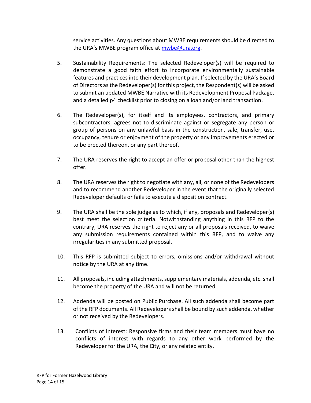service activities. Any questions about MWBE requirements should be directed to the URA's MWBE program office at [mwbe@ura.org.](mailto:mwbe@ura.org)

- 5. Sustainability Requirements: The selected Redeveloper(s) will be required to demonstrate a good faith effort to incorporate environmentally sustainable features and practices into their development plan. If selected by the URA's Board of Directors as the Redeveloper(s) for this project, the Respondent(s) will be asked to submit an updated MWBE Narrative with its Redevelopment Proposal Package, and a detailed p4 checklist prior to closing on a loan and/or land transaction.
- 6. The Redeveloper(s), for itself and its employees, contractors, and primary subcontractors, agrees not to discriminate against or segregate any person or group of persons on any unlawful basis in the construction, sale, transfer, use, occupancy, tenure or enjoyment of the property or any improvements erected or to be erected thereon, or any part thereof.
- 7. The URA reserves the right to accept an offer or proposal other than the highest offer.
- 8. The URA reserves the right to negotiate with any, all, or none of the Redevelopers and to recommend another Redeveloper in the event that the originally selected Redeveloper defaults or fails to execute a disposition contract.
- 9. The URA shall be the sole judge as to which, if any, proposals and Redeveloper(s) best meet the selection criteria. Notwithstanding anything in this RFP to the contrary, URA reserves the right to reject any or all proposals received, to waive any submission requirements contained within this RFP, and to waive any irregularities in any submitted proposal.
- 10. This RFP is submitted subject to errors, omissions and/or withdrawal without notice by the URA at any time.
- 11. All proposals, including attachments, supplementary materials, addenda, etc. shall become the property of the URA and will not be returned.
- 12. Addenda will be posted on Public Purchase. All such addenda shall become part of the RFP documents. All Redevelopers shall be bound by such addenda, whether or not received by the Redevelopers.
- 13. Conflicts of Interest: Responsive firms and their team members must have no conflicts of interest with regards to any other work performed by the Redeveloper for the URA, the City, or any related entity.